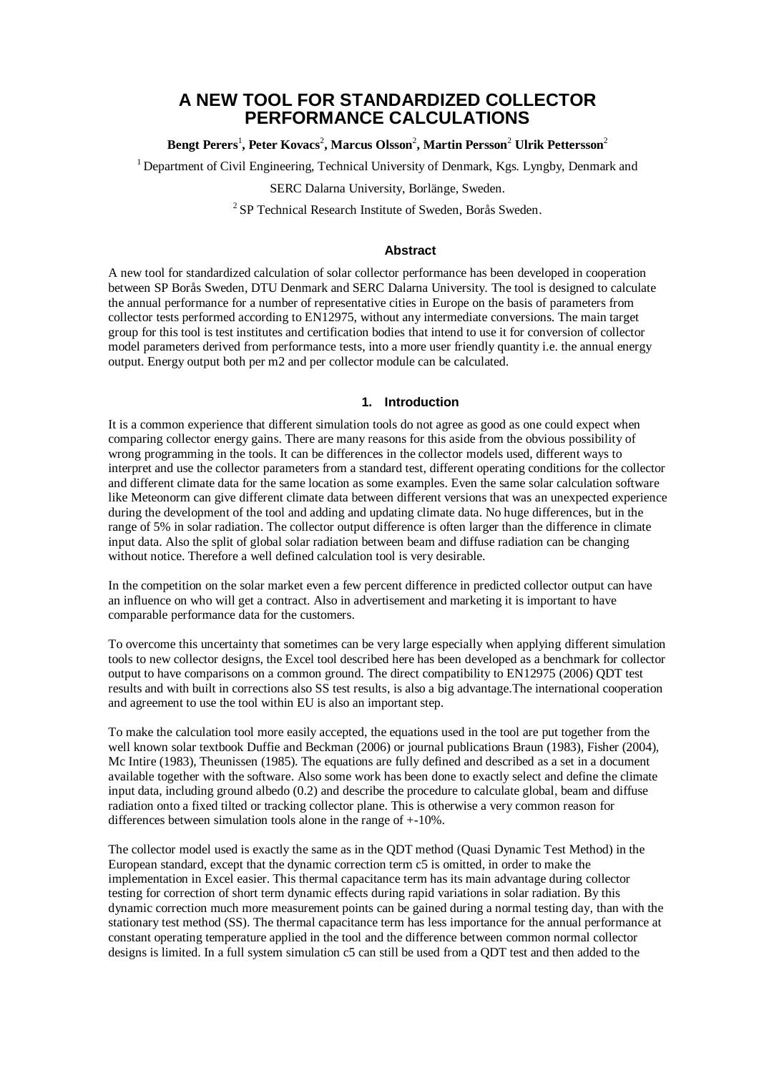# **A NEW TOOL FOR STANDARDIZED COLLECTOR PERFORMANCE CALCULATIONS**

# **Bengt Perers**<sup>1</sup> **, Peter Kovacs**<sup>2</sup> **, Marcus Olsson**<sup>2</sup> **, Martin Persson**<sup>2</sup> **Ulrik Pettersson**<sup>2</sup>

<sup>1</sup> Department of Civil Engineering, Technical University of Denmark, Kgs. Lyngby, Denmark and

SERC Dalarna University, Borlänge, Sweden.

<sup>2</sup> SP Technical Research Institute of Sweden, Borås Sweden.

#### **Abstract**

A new tool for standardized calculation of solar collector performance has been developed in cooperation between SP Borås Sweden, DTU Denmark and SERC Dalarna University. The tool is designed to calculate the annual performance for a number of representative cities in Europe on the basis of parameters from collector tests performed according to EN12975, without any intermediate conversions. The main target group for this tool is test institutes and certification bodies that intend to use it for conversion of collector model parameters derived from performance tests, into a more user friendly quantity i.e. the annual energy output. Energy output both per m2 and per collector module can be calculated.

# **1. Introduction**

It is a common experience that different simulation tools do not agree as good as one could expect when comparing collector energy gains. There are many reasons for this aside from the obvious possibility of wrong programming in the tools. It can be differences in the collector models used, different ways to interpret and use the collector parameters from a standard test, different operating conditions for the collector and different climate data for the same location as some examples. Even the same solar calculation software like Meteonorm can give different climate data between different versions that was an unexpected experience during the development of the tool and adding and updating climate data. No huge differences, but in the range of 5% in solar radiation. The collector output difference is often larger than the difference in climate input data. Also the split of global solar radiation between beam and diffuse radiation can be changing without notice. Therefore a well defined calculation tool is very desirable.

In the competition on the solar market even a few percent difference in predicted collector output can have an influence on who will get a contract. Also in advertisement and marketing it is important to have comparable performance data for the customers.

To overcome this uncertainty that sometimes can be very large especially when applying different simulation tools to new collector designs, the Excel tool described here has been developed as a benchmark for collector output to have comparisons on a common ground. The direct compatibility to EN12975 (2006) QDT test results and with built in corrections also SS test results, is also a big advantage.The international cooperation and agreement to use the tool within EU is also an important step.

To make the calculation tool more easily accepted, the equations used in the tool are put together from the well known solar textbook Duffie and Beckman (2006) or journal publications Braun (1983), Fisher (2004), Mc Intire (1983), Theunissen (1985). The equations are fully defined and described as a set in a document available together with the software. Also some work has been done to exactly select and define the climate input data, including ground albedo (0.2) and describe the procedure to calculate global, beam and diffuse radiation onto a fixed tilted or tracking collector plane. This is otherwise a very common reason for differences between simulation tools alone in the range of +-10%.

The collector model used is exactly the same as in the QDT method (Quasi Dynamic Test Method) in the European standard, except that the dynamic correction term c5 is omitted, in order to make the implementation in Excel easier. This thermal capacitance term has its main advantage during collector testing for correction of short term dynamic effects during rapid variations in solar radiation. By this dynamic correction much more measurement points can be gained during a normal testing day, than with the stationary test method (SS). The thermal capacitance term has less importance for the annual performance at constant operating temperature applied in the tool and the difference between common normal collector designs is limited. In a full system simulation c5 can still be used from a ODT test and then added to the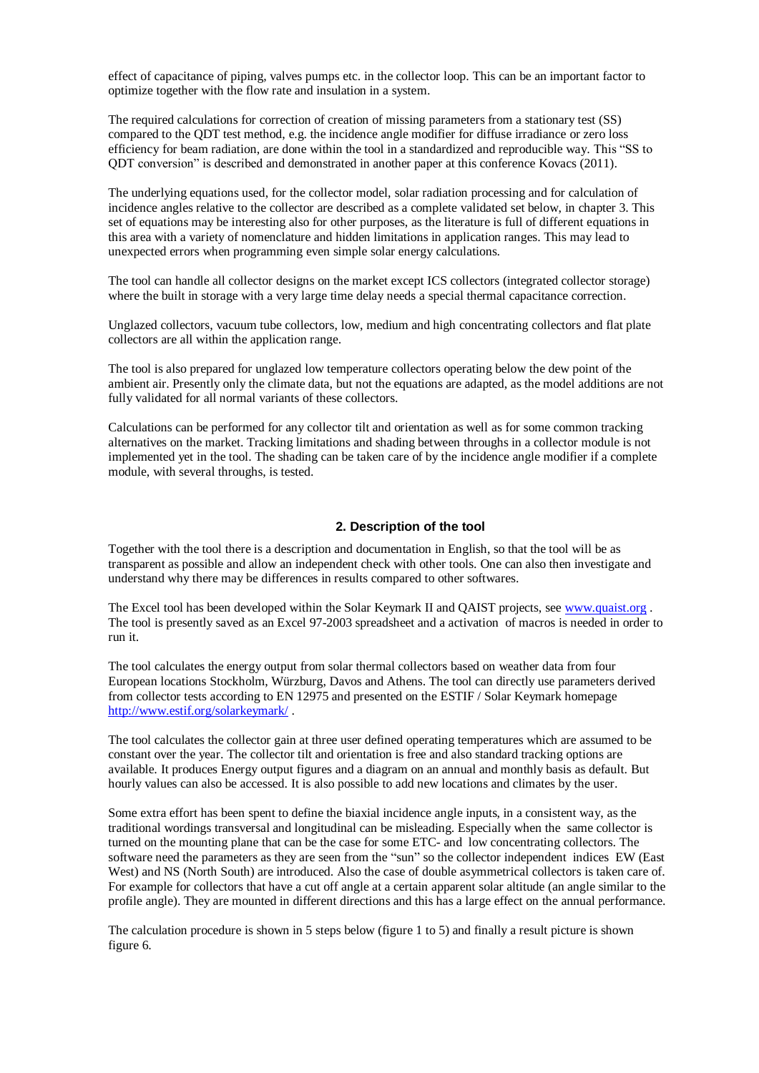effect of capacitance of piping, valves pumps etc. in the collector loop. This can be an important factor to optimize together with the flow rate and insulation in a system.

The required calculations for correction of creation of missing parameters from a stationary test (SS) compared to the QDT test method, e.g. the incidence angle modifier for diffuse irradiance or zero loss efficiency for beam radiation, are done within the tool in a standardized and reproducible way. This "SS to QDT conversion" is described and demonstrated in another paper at this conference Kovacs (2011).

The underlying equations used, for the collector model, solar radiation processing and for calculation of incidence angles relative to the collector are described as a complete validated set below, in chapter 3. This set of equations may be interesting also for other purposes, as the literature is full of different equations in this area with a variety of nomenclature and hidden limitations in application ranges. This may lead to unexpected errors when programming even simple solar energy calculations.

The tool can handle all collector designs on the market except ICS collectors (integrated collector storage) where the built in storage with a very large time delay needs a special thermal capacitance correction.

Unglazed collectors, vacuum tube collectors, low, medium and high concentrating collectors and flat plate collectors are all within the application range.

The tool is also prepared for unglazed low temperature collectors operating below the dew point of the ambient air. Presently only the climate data, but not the equations are adapted, as the model additions are not fully validated for all normal variants of these collectors.

Calculations can be performed for any collector tilt and orientation as well as for some common tracking alternatives on the market. Tracking limitations and shading between throughs in a collector module is not implemented yet in the tool. The shading can be taken care of by the incidence angle modifier if a complete module, with several throughs, is tested.

## **2. Description of the tool**

Together with the tool there is a description and documentation in English, so that the tool will be as transparent as possible and allow an independent check with other tools. One can also then investigate and understand why there may be differences in results compared to other softwares.

The Excel tool has been developed within the Solar Keymark II and QAIST projects, see [www.quaist.org](http://www.quaist.org/) . The tool is presently saved as an Excel 97-2003 spreadsheet and a activation of macros is needed in order to run it.

The tool calculates the energy output from solar thermal collectors based on weather data from four European locations Stockholm, Würzburg, Davos and Athens. The tool can directly use parameters derived from collector tests according to EN 12975 and presented on the ESTIF / Solar Keymark homepage <http://www.estif.org/solarkeymark/> .

The tool calculates the collector gain at three user defined operating temperatures which are assumed to be constant over the year. The collector tilt and orientation is free and also standard tracking options are available. It produces Energy output figures and a diagram on an annual and monthly basis as default. But hourly values can also be accessed. It is also possible to add new locations and climates by the user.

Some extra effort has been spent to define the biaxial incidence angle inputs, in a consistent way, as the traditional wordings transversal and longitudinal can be misleading. Especially when the same collector is turned on the mounting plane that can be the case for some ETC- and low concentrating collectors. The software need the parameters as they are seen from the "sun" so the collector independent indices EW (East West) and NS (North South) are introduced. Also the case of double asymmetrical collectors is taken care of. For example for collectors that have a cut off angle at a certain apparent solar altitude (an angle similar to the profile angle). They are mounted in different directions and this has a large effect on the annual performance.

The calculation procedure is shown in 5 steps below (figure 1 to 5) and finally a result picture is shown figure 6.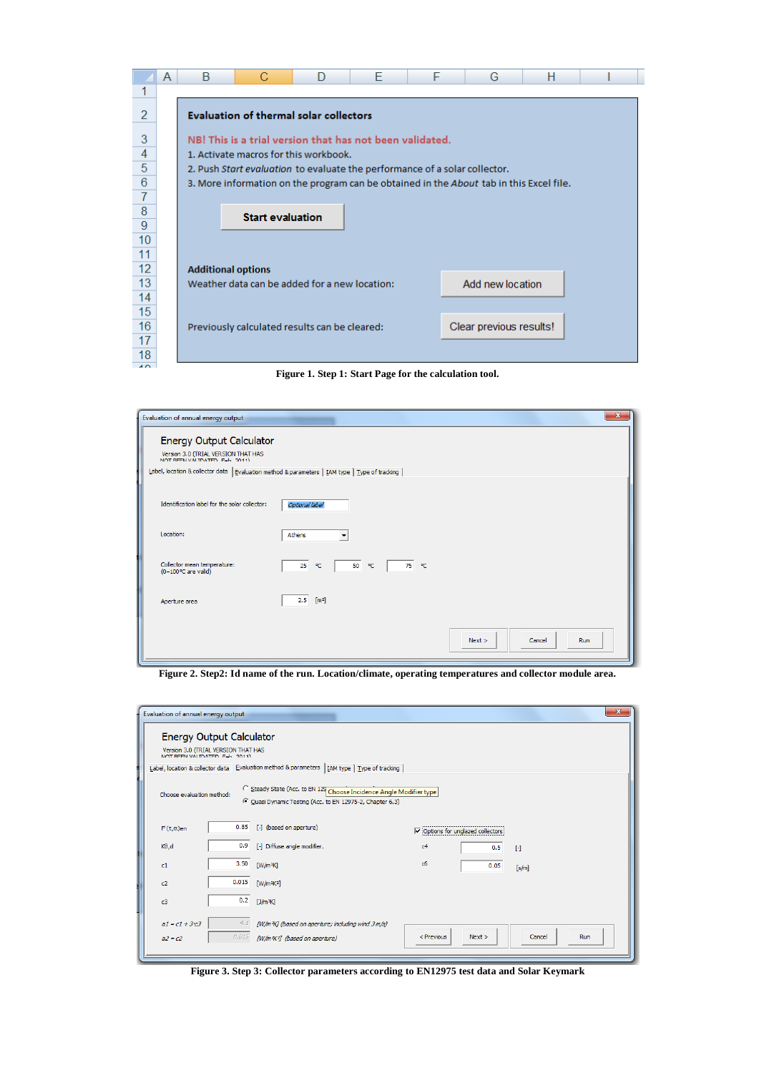|                | A | B                                             | C                                                                          | D | F | F | G                                                                                       | н |  |  |  |
|----------------|---|-----------------------------------------------|----------------------------------------------------------------------------|---|---|---|-----------------------------------------------------------------------------------------|---|--|--|--|
|                |   |                                               |                                                                            |   |   |   |                                                                                         |   |  |  |  |
| $\overline{2}$ |   | <b>Evaluation of thermal solar collectors</b> |                                                                            |   |   |   |                                                                                         |   |  |  |  |
| 3              |   |                                               | NB! This is a trial version that has not been validated.                   |   |   |   |                                                                                         |   |  |  |  |
| 4              |   |                                               | 1. Activate macros for this workbook.                                      |   |   |   |                                                                                         |   |  |  |  |
| 5              |   |                                               | 2. Push Start evaluation to evaluate the performance of a solar collector. |   |   |   |                                                                                         |   |  |  |  |
| 6              |   |                                               |                                                                            |   |   |   | 3. More information on the program can be obtained in the About tab in this Excel file. |   |  |  |  |
| $\overline{7}$ |   |                                               |                                                                            |   |   |   |                                                                                         |   |  |  |  |
| 8              |   |                                               | <b>Start evaluation</b>                                                    |   |   |   |                                                                                         |   |  |  |  |
| 9              |   |                                               |                                                                            |   |   |   |                                                                                         |   |  |  |  |
| 10             |   |                                               |                                                                            |   |   |   |                                                                                         |   |  |  |  |
| 11             |   |                                               |                                                                            |   |   |   |                                                                                         |   |  |  |  |
| 12             |   | <b>Additional options</b>                     |                                                                            |   |   |   |                                                                                         |   |  |  |  |
| 13             |   |                                               | Weather data can be added for a new location:                              |   |   |   | Add new location                                                                        |   |  |  |  |
| 14             |   |                                               |                                                                            |   |   |   |                                                                                         |   |  |  |  |
| 15             |   |                                               |                                                                            |   |   |   |                                                                                         |   |  |  |  |
| 16             |   |                                               | Previously calculated results can be cleared:                              |   |   |   | Clear previous results!                                                                 |   |  |  |  |
| 17             |   |                                               |                                                                            |   |   |   |                                                                                         |   |  |  |  |
| 18             |   |                                               |                                                                            |   |   |   |                                                                                         |   |  |  |  |

**Figure 1. Step 1: Start Page for the calculation tool.**

| Evaluation of annual energy output                                                              |                                         | $\mathbf{x}$                   |
|-------------------------------------------------------------------------------------------------|-----------------------------------------|--------------------------------|
| <b>Energy Output Calculator</b>                                                                 |                                         |                                |
| Version 3.0 (TRIAL VERSION THAT HAS                                                             |                                         |                                |
| Label, location & collector data   Evaluation method & parameters   IAM type   Type of tracking |                                         |                                |
| Identification label for the solar collector:                                                   | Optional label                          |                                |
| Location:                                                                                       | $\overline{\phantom{0}}$<br>Athens      |                                |
| Collector mean temperature:<br>(0-100°C are valid)                                              | 75 °C<br>25<br>$^{\circ}$ C<br>50<br>P€ |                                |
| Aperture area                                                                                   | 2.5<br>$[m^2]$                          |                                |
|                                                                                                 |                                         | Next ><br>Cancel<br><b>Run</b> |

**Figure 2. Step2: Id name of the run. Location/climate, operating temperatures and collector module area.**

| Evaluation of annual energy output                                    |                                                                                                                                                             |                                                                                               |                |                                                 |              | $\mathbf{x}$ |  |  |  |
|-----------------------------------------------------------------------|-------------------------------------------------------------------------------------------------------------------------------------------------------------|-----------------------------------------------------------------------------------------------|----------------|-------------------------------------------------|--------------|--------------|--|--|--|
| <b>Energy Output Calculator</b>                                       |                                                                                                                                                             |                                                                                               |                |                                                 |              |              |  |  |  |
| Version 3.0 (TRIAL VERSION THAT HAS<br>NOT REEN VALIDATED. Eab. 2011) |                                                                                                                                                             |                                                                                               |                |                                                 |              |              |  |  |  |
|                                                                       |                                                                                                                                                             | Label, location & collector data Evaluation method & parameters   IAM type   Type of tracking |                |                                                 |              |              |  |  |  |
|                                                                       | Steady State (Acc. to EN 129 Choose Incidence Angle Modifier type<br>Choose evaluation method:<br>C Quasi Dynamic Testing (Acc. to EN 12975-2, Chapter 6.3) |                                                                                               |                |                                                 |              |              |  |  |  |
| $F'(\tau,\alpha)$ en                                                  | 0.85                                                                                                                                                        | [-] (based on aperture)                                                                       |                | $\triangledown$ Options for unglazed collectors |              |              |  |  |  |
| K0,d                                                                  | 0.9                                                                                                                                                         | [-] Diffuse angle modifier.                                                                   | c <sub>4</sub> | 0.5                                             | $\mathbb{H}$ |              |  |  |  |
| c1                                                                    | 3.50                                                                                                                                                        | $[W/m^2K]$                                                                                    | c6             | 0.05                                            | [s/m]        |              |  |  |  |
| c2                                                                    | 0.015                                                                                                                                                       | $\sqrt{\frac{W}{m^2K^2}}$                                                                     |                |                                                 |              |              |  |  |  |
| c3                                                                    | 0.2                                                                                                                                                         | [J/m <sup>3</sup> K]                                                                          |                |                                                 |              |              |  |  |  |
| $a1 = c1 + 3c3$                                                       | 4.1                                                                                                                                                         | [W/m <sup>2</sup> K] (based on aperture; including wind 3 m/s)                                |                |                                                 |              |              |  |  |  |
| $a2 = c2$                                                             | 0.015                                                                                                                                                       | (W/m <sup>2</sup> K <sup>2</sup> ) (based on aperture)                                        | $<$ Previous   | Next                                            | Cancel       | Run          |  |  |  |
|                                                                       |                                                                                                                                                             |                                                                                               |                |                                                 |              |              |  |  |  |

**Figure 3. Step 3: Collector parameters according to EN12975 test data and Solar Keymark**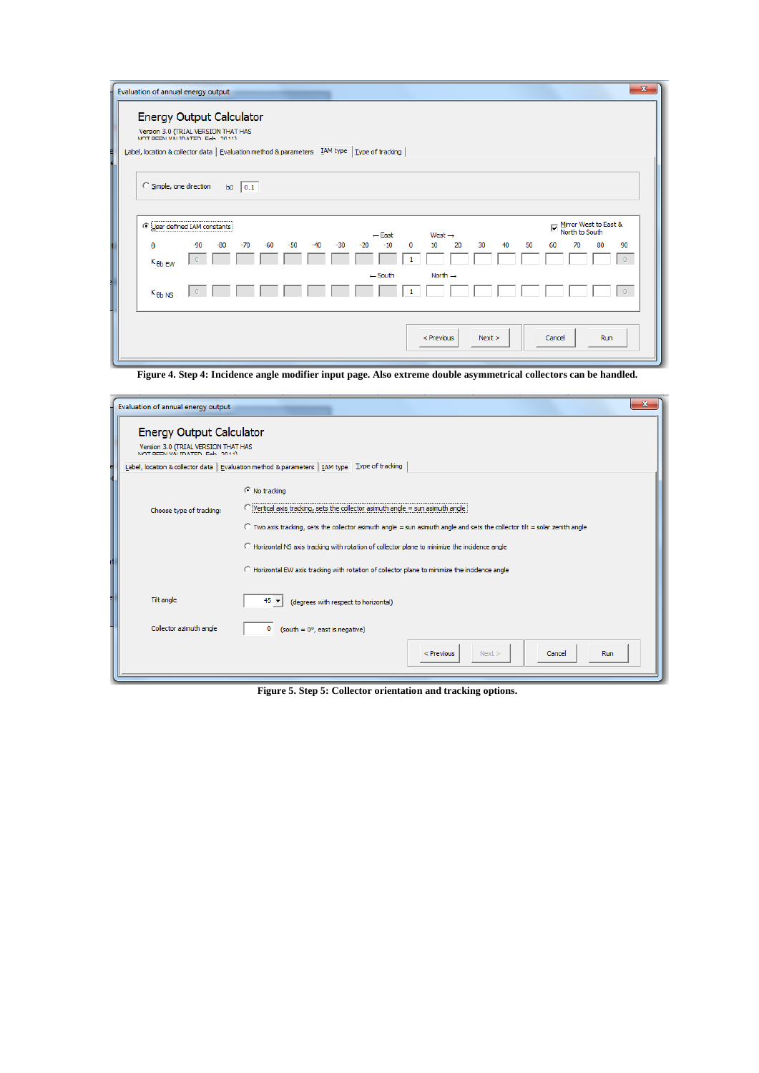|                               | Evaluation of annual energy output                                                                      |              |     |       |                                                                                                 |                          |          |                | $\mathbf{x}$                            |
|-------------------------------|---------------------------------------------------------------------------------------------------------|--------------|-----|-------|-------------------------------------------------------------------------------------------------|--------------------------|----------|----------------|-----------------------------------------|
|                               | <b>Energy Output Calculator</b><br>Version 3.0 (TRIAL VERSION THAT HAS<br>NOT REEN VALIDATED. Eab 2011) |              |     |       | Label, location & collector data   Evaluation method & parameters   IAM type   Type of tracking |                          |          |                |                                         |
| C Simple, one direction       | b <sub>0</sub>                                                                                          | $\vert$ 0.1  |     |       |                                                                                                 |                          |          |                |                                         |
|                               | <b>O User defined IAM constants</b>                                                                     |              |     |       | $\leftarrow$ East                                                                               | West $\rightarrow$       |          | ⊽              | Mirror West to East &<br>North to South |
| $\theta$<br>$K_{\theta b}$ EW | $-90$<br>$-80$                                                                                          | $-70$<br>-60 | -50 | $-30$ | $-10$<br>$-20$                                                                                  | 20<br>$\mathbf{0}$<br>10 | 30<br>40 | 50<br>60<br>70 | 80<br>90                                |
| $K_{\theta b\text{ NS}}$      |                                                                                                         |              |     |       | $\leftarrow$ South                                                                              | North $\rightarrow$      |          |                |                                         |
|                               |                                                                                                         |              |     |       |                                                                                                 | $<$ Previous             | Next >   | Cancel         | Run                                     |

**Figure 4. Step 4: Incidence angle modifier input page. Also extreme double asymmetrical collectors can be handled.**

| Evaluation of annual energy output                                                                      | $\mathbf{x}$                                                                                                                       |  |  |  |  |  |  |
|---------------------------------------------------------------------------------------------------------|------------------------------------------------------------------------------------------------------------------------------------|--|--|--|--|--|--|
| <b>Energy Output Calculator</b><br>Version 3.0 (TRIAL VERSION THAT HAS<br>NOT REEN VALIDATED. Eab 2011) |                                                                                                                                    |  |  |  |  |  |  |
|                                                                                                         | Label, location & collector data   Evaluation method & parameters   IAM type   Type of tracking                                    |  |  |  |  |  |  |
|                                                                                                         | C No tracking                                                                                                                      |  |  |  |  |  |  |
| Choose type of tracking:                                                                                | $\bigcap$ ivertical axis tracking, sets the collector asimuth angle = sun asimuth angle is                                         |  |  |  |  |  |  |
|                                                                                                         | $\degree$ Two axis tracking, sets the collector asimuth angle = sun asimuth angle and sets the collector tilt = solar zenith angle |  |  |  |  |  |  |
|                                                                                                         | C Horizontal NS axis tracking with rotation of collector plane to minimize the incidence angle                                     |  |  |  |  |  |  |
|                                                                                                         | C Horizontal EW axis tracking with rotation of collector plane to minimize the incidence angle                                     |  |  |  |  |  |  |
| Tilt angle                                                                                              | 45<br>(degrees with respect to horizontal)                                                                                         |  |  |  |  |  |  |
| Collector azimuth angle                                                                                 | o<br>(south = $0^\circ$ , east is negative)                                                                                        |  |  |  |  |  |  |
|                                                                                                         | $<$ Previous<br>Next ><br>Cancel<br>Run                                                                                            |  |  |  |  |  |  |
|                                                                                                         |                                                                                                                                    |  |  |  |  |  |  |

**Figure 5. Step 5: Collector orientation and tracking options.**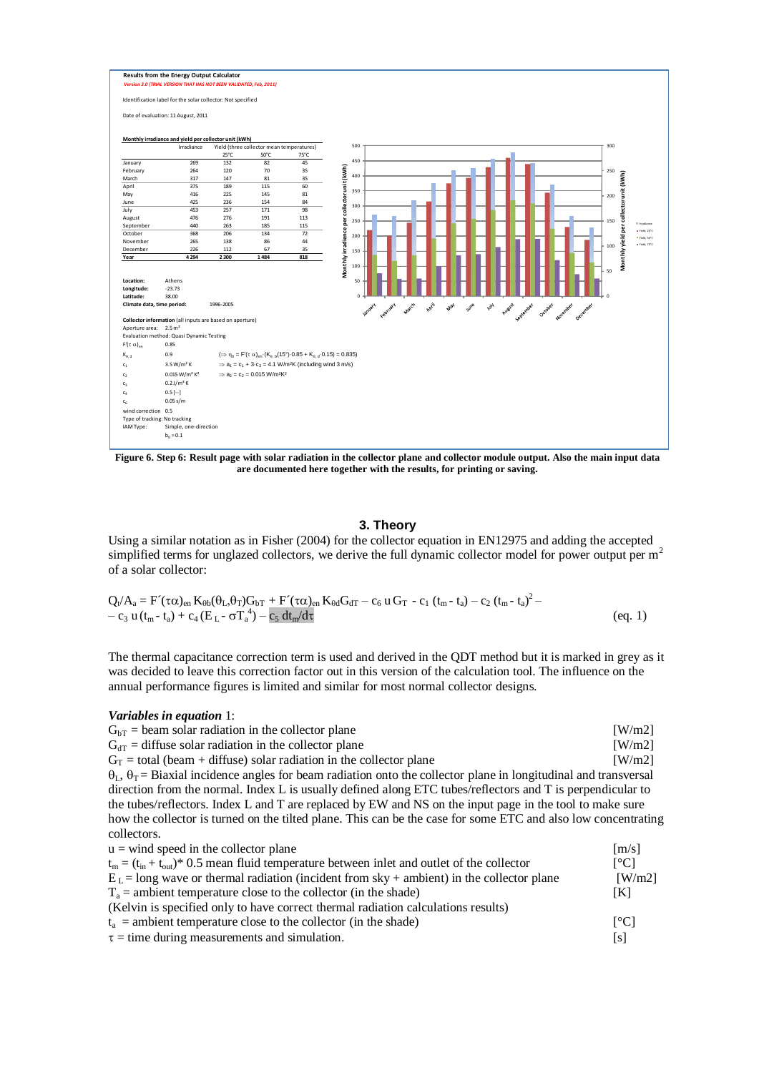

**Figure 6. Step 6: Result page with solar radiation in the collector plane and collector module output. Also the main input data are documented here together with the results, for printing or saving.**

#### **3. Theory**

Using a similar notation as in Fisher (2004) for the collector equation in EN12975 and adding the accepted simplified terms for unglazed collectors, we derive the full dynamic collector model for power output per  $m<sup>2</sup>$ of a solar collector:

$$
Q_{t}/A_{a} = F'(\tau\alpha)_{en} K_{\theta b}(\theta_{L}, \theta_{T})G_{bT} + F'(\tau\alpha)_{en} K_{\theta d}G_{dT} - c_{6} u G_{T} - c_{1} (t_{m} - t_{a}) - c_{2} (t_{m} - t_{a})^{2} - c_{3} u (t_{m} - t_{a}) + c_{4} (E_{L} - \sigma T_{a}^{4}) - c_{5} dt_{m}/d\tau
$$
\n
$$
(eq. 1)
$$

The thermal capacitance correction term is used and derived in the QDT method but it is marked in grey as it was decided to leave this correction factor out in this version of the calculation tool. The influence on the annual performance figures is limited and similar for most normal collector designs.

#### *Variables in equation* 1:

| $GhT$ = beam solar radiation in the collector plane                                                                                                                                                                                          | $\lceil W/m2 \rceil$      |
|----------------------------------------------------------------------------------------------------------------------------------------------------------------------------------------------------------------------------------------------|---------------------------|
| $G_{dT}$ = diffuse solar radiation in the collector plane                                                                                                                                                                                    | $\lceil W/m2 \rceil$      |
| $G_T$ = total (beam + diffuse) solar radiation in the collector plane                                                                                                                                                                        | $\lceil W/m2 \rceil$      |
| $\theta_L$ , $\theta_T$ = Biaxial incidence angles for beam radiation onto the collector plane in longitudinal and transversal<br>direction from the normal. Index L is usually defined along ETC tubes/reflectors and T is perpendicular to |                           |
| the tubes/reflectors. Index L and T are replaced by EW and NS on the input page in the tool to make sure<br>how the collector is turned on the tilted plane. This can be the case for some ETC and also low concentrating                    |                           |
| collectors.                                                                                                                                                                                                                                  |                           |
| $u =$ wind speed in the collector plane                                                                                                                                                                                                      | [m/s]                     |
| $t_m = (t_{in} + t_{out})^*$ 0.5 mean fluid temperature between inlet and outlet of the collector                                                                                                                                            | $\lceil{^{\circ}C}\rceil$ |
| $\mathbf{E} = -1$ . The compact of the state of the state of $\mathcal{L}_\text{c}$ , and the state of the state of the state of the state of the state of the state of the state of the state of the state of the state of the state of the | $\mathbf{u}$              |

| $t_m = (t_{in} + t_{out})^*$ 0.5 mean fluid temperature between inlet and outlet of the collector | Loci                     |
|---------------------------------------------------------------------------------------------------|--------------------------|
| $EL$ = long wave or thermal radiation (incident from sky + ambient) in the collector plane        | $\lceil W/m2 \rceil$     |
| $T_a$ = ambient temperature close to the collector (in the shade)                                 | IKI                      |
| (Kelvin is specified only to have correct thermal radiation calculations results)                 |                          |
| $t_a$ = ambient temperature close to the collector (in the shade)                                 | $\Gamma$ <sup>o</sup> Cl |
| $\tau$ = time during measurements and simulation.                                                 | [s]                      |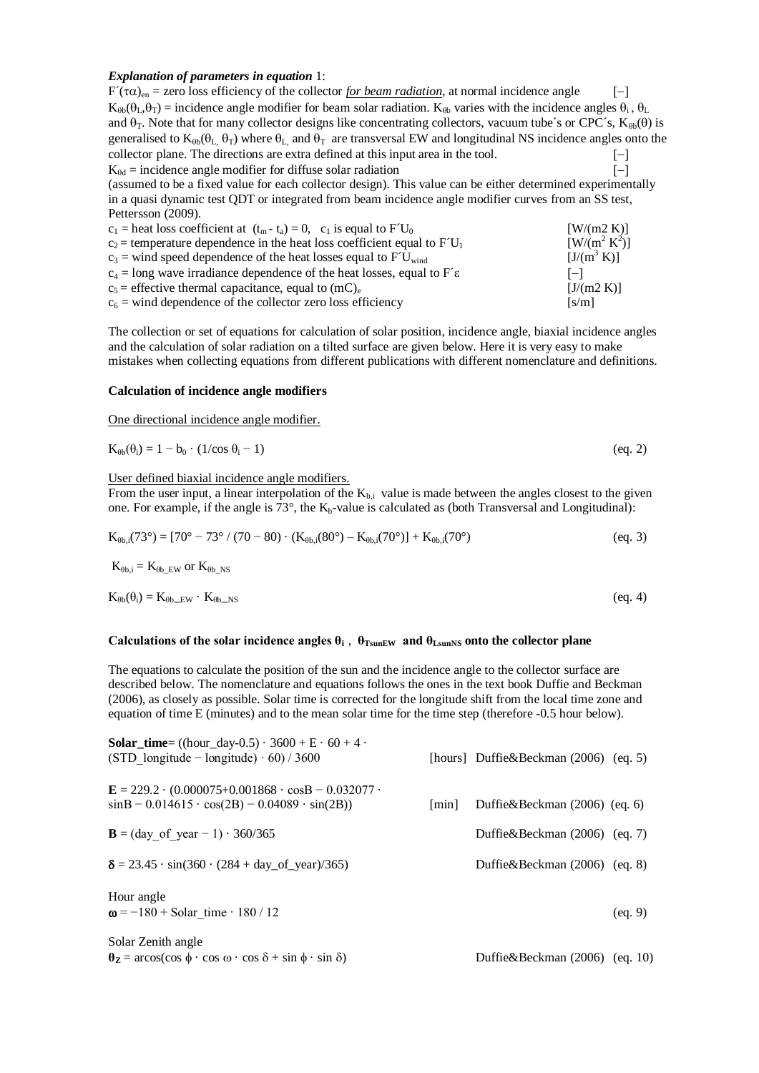#### *Explanation of parameters in equation* 1:

| $F'(\tau\alpha)_{en}$ = zero loss efficiency of the collector for beam radiation, at normal incidence angle                                         |                          |
|-----------------------------------------------------------------------------------------------------------------------------------------------------|--------------------------|
| $K_{0h}(\theta_1, \theta_1)$ = incidence angle modifier for beam solar radiation. $K_{0h}$ varies with the incidence angles $\theta_i$ , $\theta_L$ |                          |
| and $\theta_T$ . Note that for many collector designs like concentrating collectors, vacuum tube's or CPC's, $K_{\theta\theta}(\theta)$ is          |                          |
| generalised to $K_{\theta b}(\theta_L, \theta_T)$ where $\theta_L$ and $\theta_T$ are transversal EW and longitudinal NS incidence angles onto the  |                          |
| collector plane. The directions are extra defined at this input area in the tool.                                                                   | $-\,$                    |
| $K_{\theta d}$ = incidence angle modifier for diffuse solar radiation                                                                               | $\overline{\phantom{0}}$ |
| (assumed to be a fixed value for each collector design). This value can be either determined experimentally                                         |                          |
| in a quasi dynamic test QDT or integrated from beam incidence angle modifier curves from an SS test,                                                |                          |
| Pettersson (2009).                                                                                                                                  |                          |
| $c_1$ = heat loss coefficient at $(t_m - t_a) = 0$ , $c_1$ is equal to $FU_0$                                                                       | [ W/(m2 K)]              |
| $c_2$ = temperature dependence in the heat loss coefficient equal to $FU_1$                                                                         | $[ W / (m^2 K^2 )]$      |
| $c_3$ = wind speed dependence of the heat losses equal to $FU_{wind}$                                                                               | $[J/(m^3 K)]$            |
| $c_4$ = long wave irradiance dependence of the heat losses, equal to F's                                                                            | $\vert - \vert$          |
| $c_5$ = effective thermal capacitance, equal to (mC) <sub>e</sub>                                                                                   | [J/(m2 K)]               |

 $c_6$  = wind dependence of the collector zero loss efficiency [s/m]

The collection or set of equations for calculation of solar position, incidence angle, biaxial incidence angles and the calculation of solar radiation on a tilted surface are given below. Here it is very easy to make mistakes when collecting equations from different publications with different nomenclature and definitions.

#### **Calculation of incidence angle modifiers**

One directional incidence angle modifier.

$$
K_{\theta b}(\theta_i) = 1 - b_0 \cdot (1/\cos \theta_i - 1) \tag{eq. 2}
$$

#### User defined biaxial incidence angle modifiers.

From the user input, a linear interpolation of the  $K_{b,i}$  value is made between the angles closest to the given one. For example, if the angle is  $73^\circ$ , the  $K_b$ -value is calculated as (both Transversal and Longitudinal):

$$
K_{\theta b,i}(73^{\circ}) = [70^{\circ} - 73^{\circ} / (70 - 80) \cdot (K_{\theta b,i}(80^{\circ}) - K_{\theta b,i}(70^{\circ})] + K_{\theta b,i}(70^{\circ})
$$
 (eq. 3)

 $K_{\theta b,i} = K_{\theta b E}$  EW or  $K_{\theta b}$  NS

$$
K_{\theta b}(\theta_i) = K_{\theta b \to W} \cdot K_{\theta b \to NS} \tag{eq.4}
$$

#### Calculations of the solar incidence angles  $\theta_i$ ,  $\theta_{TsunEW}$  and  $\theta_{LsunNS}$  onto the collector plane

The equations to calculate the position of the sun and the incidence angle to the collector surface are described below. The nomenclature and equations follows the ones in the text book Duffie and Beckman (2006), as closely as possible. Solar time is corrected for the longitude shift from the local time zone and equation of time E (minutes) and to the mean solar time for the time step (therefore -0.5 hour below).

| <b>Solar_time</b> = $((hour\_day-0.5) \cdot 3600 + E \cdot 60 + 4 \cdot$<br>(STD longitude – longitude) $60$ / 3600                       |                      | [hours] Duffie&Beckman $(2006)$ (eq. 5) |         |
|-------------------------------------------------------------------------------------------------------------------------------------------|----------------------|-----------------------------------------|---------|
| $\mathbf{E} = 229.2 \cdot (0.000075 + 0.001868 \cdot \cos B - 0.032077 \cdot$<br>$sinB - 0.014615 \cdot cos(2B) - 0.04089 \cdot sin(2B))$ | $\lceil \min \rceil$ | Duffie&Beckman $(2006)$ (eq. 6)         |         |
| <b>B</b> = (day of year - 1) $\cdot$ 360/365                                                                                              |                      | Duffie&Beckman $(2006)$ (eq. 7)         |         |
| $\delta = 23.45 \cdot \sin(360 \cdot (284 + day_of-year)/365)$                                                                            |                      | Duffie&Beckman $(2006)$ (eq. 8)         |         |
| Hour angle<br>$\omega = -180 + \text{Solar time} \cdot 180 / 12$                                                                          |                      |                                         | (eq. 9) |
| Solar Zenith angle<br>$\theta_{\mathbf{Z}} = \arccos(\cos \phi \cdot \cos \omega \cdot \cos \delta + \sin \phi \cdot \sin \delta)$        |                      | Duffie&Beckman (2006) (eq. 10)          |         |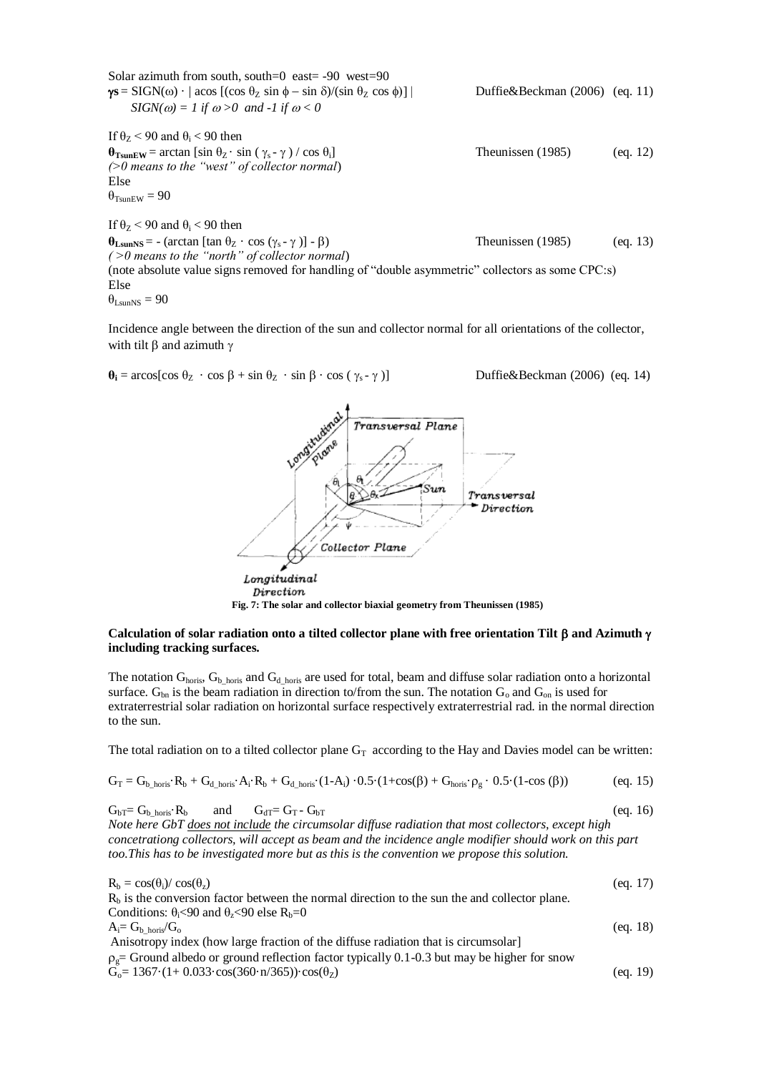| Solar azimuth from south, south=0 east= $-90$ west=90                                                     |                                  |          |
|-----------------------------------------------------------------------------------------------------------|----------------------------------|----------|
| $\gamma s = SIGN(\omega) \cdot  \csc(\cos \theta_z \sin \phi - \sin \delta)/(\sin \theta_z \cos \phi) $   | Duffie&Beckman $(2006)$ (eq. 11) |          |
| $SIGN(\omega) = 1$ if $\omega > 0$ and -1 if $\omega < 0$                                                 |                                  |          |
| If $\theta$ <sub>7</sub> < 90 and $\theta$ <sub>i</sub> < 90 then                                         |                                  |          |
| $\theta_{TsumEW}$ = arctan [sin $\theta_Z \cdot \sin (\gamma_s - \gamma) / \cos \theta_i$ ]               | Theunissen (1985)                | (eq. 12) |
| $($ >0 means to the "west" of collector normal)                                                           |                                  |          |
| Else                                                                                                      |                                  |          |
| $\theta_{\text{TermFW}} = 90$                                                                             |                                  |          |
| If $\theta$ <sub>7</sub> < 90 and $\theta$ <sub>i</sub> < 90 then                                         |                                  |          |
| $\theta_{\text{LsumNs}} = -(\arctan \left[ \tan \theta_Z \cdot \cos (\gamma_s - \gamma) \right] - \beta)$ | Theunissen (1985)                | (eq. 13) |
| $($ >0 means to the "north" of collector normal)                                                          |                                  |          |
| (note absolute value signs removed for handling of "double asymmetric" collectors as some CPC:s)          |                                  |          |
| Else                                                                                                      |                                  |          |
|                                                                                                           |                                  |          |

$$
\theta_{\text{LsunNS}}=90
$$

Incidence angle between the direction of the sun and collector normal for all orientations of the collector, with tilt  $\beta$  and azimuth  $\gamma$ 

 $\theta_i = \arccos[\cos \theta_z \cdot \cos \theta + \sin \theta_z \cdot \sin \theta \cdot \cos (\gamma_s - \gamma)]$  Duffie&Beckman (2006) (eq. 14)

$$
\frac{10^{n} \text{cm}^{\text{in}} \text{cm}^{\text{in}} \text{cm} \cdot \text{m}}{1 \text{r} \cdot \text{cm} \cdot \text{m} \cdot \text{m} \cdot \text{m} \cdot \text{m} \cdot \text{m} \cdot \text{m} \cdot \text{m} \cdot \text{m} \cdot \text{m} \cdot \text{m} \cdot \text{m} \cdot \text{m} \cdot \text{m} \cdot \text{m} \cdot \text{m} \cdot \text{m} \cdot \text{m} \cdot \text{m} \cdot \text{m} \cdot \text{m} \cdot \text{m} \cdot \text{m} \cdot \text{m} \cdot \text{m} \cdot \text{m} \cdot \text{m} \cdot \text{m} \cdot \text{m} \cdot \text{m} \cdot \text{m} \cdot \text{m} \cdot \text{m} \cdot \text{m} \cdot \text{m} \cdot \text{m} \cdot \text{m} \cdot \text{m} \cdot \text{m} \cdot \text{m} \cdot \text{m} \cdot \text{m} \cdot \text{m} \cdot \text{m} \cdot \text{m} \cdot \text{m} \cdot \text{m} \cdot \text{m} \cdot \text{m} \cdot \text{m} \cdot \text{m} \cdot \text{m} \cdot \text{m} \cdot \text{m} \cdot \text{m} \cdot \text{m} \cdot \text{m} \cdot \text{m} \cdot \text{m} \cdot \text{m} \cdot \text{m} \cdot \text{m} \cdot \text{m} \cdot \text{m} \cdot \text{m} \cdot \text{m} \cdot \text{m} \cdot \text{m} \cdot \text{m} \cdot \text{m} \cdot \text{m} \cdot \text{m} \cdot \text{m} \cdot \text{m} \cdot \text{m} \cdot \text{m} \cdot \text{m} \cdot \text{m} \cdot \text{m} \cdot \text{m} \cdot \text{m} \cdot \text{m} \cdot \text{m} \cdot \text{m} \cdot \text{m} \cdot \text{m} \cdot \text{m} \cdot \text{m} \cdot \text{m} \cdot \text{m} \cdot \text{m} \cdot \text{m} \cdot \text{m} \cdot \text{m} \cdot \text{m} \cdot \text{m} \cdot \text{m} \cdot \text{m} \cdot \text{m} \cdot \text{m} \cdot \text{m} \cdot \text
$$

Longitudinal Direction

# **Fig. 7: The solar and collector biaxial geometry from Theunissen (1985)**

## Calculation of solar radiation onto a tilted collector plane with free orientation Tilt  $\beta$  and Azimuth  $\gamma$ **including tracking surfaces.**

The notation  $G_{\text{horis}}$ ,  $G_{\text{b} \text{ horis}}$  and  $G_{\text{d} \text{ horis}}$  are used for total, beam and diffuse solar radiation onto a horizontal surface.  $G_{bn}$  is the beam radiation in direction to/from the sun. The notation  $G_0$  and  $G_{on}$  is used for extraterrestrial solar radiation on horizontal surface respectively extraterrestrial rad. in the normal direction to the sun.

The total radiation on to a tilted collector plane  $G_T$  according to the Hay and Davies model can be written:

$$
G_T = G_{b\_horis} \cdot R_b + G_{d\_horis} \cdot A_i \cdot R_b + G_{d\_horis} \cdot (1-A_i) \cdot 0.5 \cdot (1+cos(\beta) + G_{horis} \cdot \rho_g \cdot 0.5 \cdot (1-cos(\beta)) \qquad \qquad (eq.~15)
$$

 $G_{bT} = G_{b\_horis} \cdot R_b$  and  $G_{dT} = G_T - G_{bT}$  (eq. 16) *Note here GbT does not include the circumsolar diffuse radiation that most collectors, except high concetrationg collectors, will accept as beam and the incidence angle modifier should work on this part too.This has to be investigated more but as this is the convention we propose this solution.*

| $R_h = \cos(\theta_i)/\cos(\theta_z)$                                                                 | (eq. 17) |
|-------------------------------------------------------------------------------------------------------|----------|
| $Rb$ is the conversion factor between the normal direction to the sun the and collector plane.        |          |
| Conditions: $\theta_1 < 90$ and $\theta_7 < 90$ else R <sub>h</sub> =0                                |          |
| $A_i = G_b$ horis/ $G_0$                                                                              | (eq. 18) |
| Anisotropy index (how large fraction of the diffuse radiation that is circumsolar)                    |          |
| $\rho_{\rm g}$ Ground albedo or ground reflection factor typically 0.1-0.3 but may be higher for snow |          |
| $G_0 = 1367 \cdot (1 + 0.033 \cdot \cos(360 \cdot n/365)) \cdot \cos(\theta_z)$                       | (eq. 19) |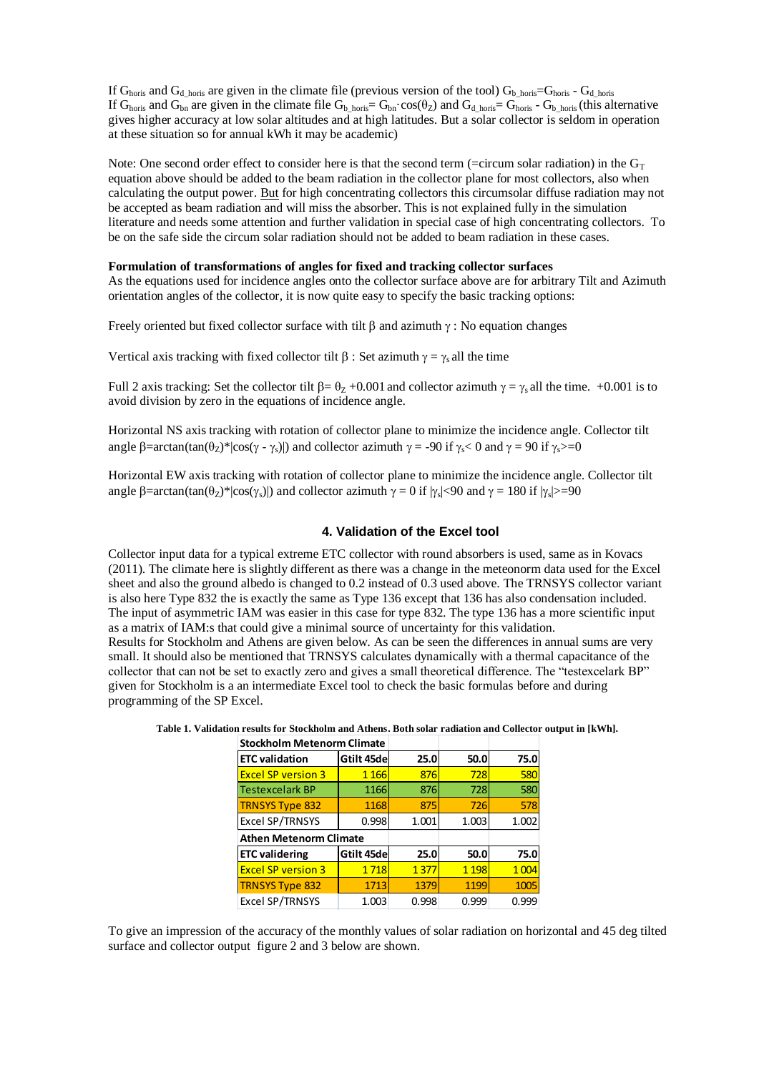If  $G_{\text{horis}}$  and  $G_{\text{d-horis}}$  are given in the climate file (previous version of the tool)  $G_{\text{b-horis}} = G_{\text{horis}}$  -  $G_{\text{d-horis}}$ If G<sub>horis</sub> and G<sub>bn</sub> are given in the climate file G<sub>b horis</sub>=  $G_{bn} \cdot cos(\theta_Z)$  and G<sub>d horis</sub>=  $G_{horis} \cdot G_{b}$  horis (this alternative gives higher accuracy at low solar altitudes and at high latitudes. But a solar collector is seldom in operation at these situation so for annual kWh it may be academic)

Note: One second order effect to consider here is that the second term (=circum solar radiation) in the  $G_T$ equation above should be added to the beam radiation in the collector plane for most collectors, also when calculating the output power. But for high concentrating collectors this circumsolar diffuse radiation may not be accepted as beam radiation and will miss the absorber. This is not explained fully in the simulation literature and needs some attention and further validation in special case of high concentrating collectors. To be on the safe side the circum solar radiation should not be added to beam radiation in these cases.

# **Formulation of transformations of angles for fixed and tracking collector surfaces**

As the equations used for incidence angles onto the collector surface above are for arbitrary Tilt and Azimuth orientation angles of the collector, it is now quite easy to specify the basic tracking options:

Freely oriented but fixed collector surface with tilt  $\beta$  and azimuth  $\gamma$ : No equation changes

Vertical axis tracking with fixed collector tilt  $\beta$ : Set azimuth  $\gamma = \gamma_s$  all the time

Full 2 axis tracking: Set the collector tilt  $\beta = \theta_z + 0.001$  and collector azimuth  $\gamma = \gamma_s$  all the time.  $+0.001$  is to avoid division by zero in the equations of incidence angle.

Horizontal NS axis tracking with rotation of collector plane to minimize the incidence angle. Collector tilt angle  $\beta$ =arctan(tan( $\theta$ z)\*|cos( $\gamma$  -  $\gamma$ <sub>s</sub>)|) and collector azimuth  $\gamma$  = -90 if  $\gamma$  < 0 and  $\gamma$  = 90 if  $\gamma$  >=0

Horizontal EW axis tracking with rotation of collector plane to minimize the incidence angle. Collector tilt angle  $\beta$ =arctan(tan( $\theta$ <sub>Z</sub>)\*|cos( $\gamma$ <sub>s</sub>)|) and collector azimuth  $\gamma = 0$  if  $|\gamma_s|$ <90 and  $\gamma = 180$  if  $|\gamma_s|$ >=90

## **4. Validation of the Excel tool**

Collector input data for a typical extreme ETC collector with round absorbers is used, same as in Kovacs (2011). The climate here is slightly different as there was a change in the meteonorm data used for the Excel sheet and also the ground albedo is changed to 0.2 instead of 0.3 used above. The TRNSYS collector variant is also here Type 832 the is exactly the same as Type 136 except that 136 has also condensation included. The input of asymmetric IAM was easier in this case for type 832. The type 136 has a more scientific input as a matrix of IAM:s that could give a minimal source of uncertainty for this validation. Results for Stockholm and Athens are given below. As can be seen the differences in annual sums are very small. It should also be mentioned that TRNSYS calculates dynamically with a thermal capacitance of the collector that can not be set to exactly zero and gives a small theoretical difference. The "testexcelark BP" given for Stockholm is a an intermediate Excel tool to check the basic formulas before and during programming of the SP Excel.

| <b>Stockholm Metenorm Climate</b> |            |       |         |         |
|-----------------------------------|------------|-------|---------|---------|
| <b>ETC</b> validation             | Gtilt 45de | 25.0  | 50.0    | 75.0    |
| <b>Excel SP version 3</b>         | 1 1 6 6    | 876   | 728     | 580     |
| <b>Testexcelark BP</b>            | 1166       | 876   | 728     | 580     |
| <b>TRNSYS Type 832</b>            | 1168       | 875   | 726     | 578     |
| Excel SP/TRNSYS                   | 0.998      | 1.001 | 1.003   | 1.002   |
| <b>Athen Metenorm Climate</b>     |            |       |         |         |
| <b>ETC</b> validering             | Gtilt 45de | 25.0  | 50.0    | 75.0    |
| <b>Excel SP version 3</b>         | 1718       | 1377  | 1 1 9 8 | 1 0 0 4 |
| <b>TRNSYS Type 832</b>            | 1713       | 1379  | 1199    | 1005    |
| <b>Excel SP/TRNSYS</b>            | 1.003      | 0.998 | 0.999   | 0.999   |

**Table 1. Validation results for Stockholm and Athens. Both solar radiation and Collector output in [kWh].**

To give an impression of the accuracy of the monthly values of solar radiation on horizontal and 45 deg tilted surface and collector output figure 2 and 3 below are shown.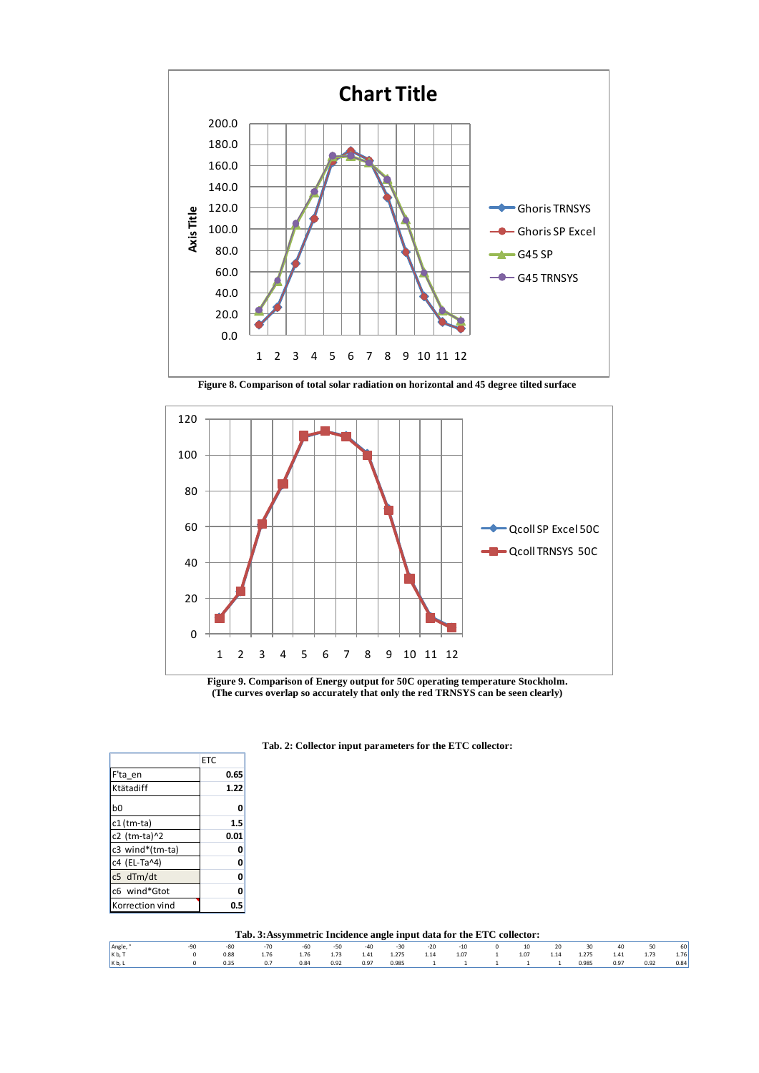

**Figure 8. Comparison of total solar radiation on horizontal and 45 degree tilted surface**



**Figure 9. Comparison of Energy output for 50C operating temperature Stockholm. (The curves overlap so accurately that only the red TRNSYS can be seen clearly)**

|                 | ETC  |
|-----------------|------|
| F'ta en         | 0.65 |
| Ktätadiff       | 1.22 |
| b0              | 0    |
| c1 (tm-ta)      | 1.5  |
| c2 (tm-ta)^2    | 0.01 |
| c3 wind*(tm-ta) | 0    |
| c4 (EL-Ta^4)    | 0    |
| c5 dTm/dt       | 0    |
| c6 wind*Gtot    | O    |
| Korrection vind | 0.5  |

**Tab. 2: Collector input parameters for the ETC collector:**

**Tab. 3:Assymmetric Incidence angle input data for the ETC collector:**

| <b>1 ab. 3. Assymmetric Incluence angle input uata for the ETC conector.</b> |  |      |      |      |      |      |       |      |       |  |      |      |       |      |      |      |
|------------------------------------------------------------------------------|--|------|------|------|------|------|-------|------|-------|--|------|------|-------|------|------|------|
| Angle,                                                                       |  |      |      | -60  | -50  | -40  | $-30$ | -20  | $-10$ |  | 10   | 20   | 30    | 40   | 50   | 60   |
| K b, 1                                                                       |  |      | 1.76 | 1.76 | 1.73 | 1.41 | 1.275 | 1.14 | 1.07  |  | 1.07 | 1.14 | 1.275 | 1.41 | 1.73 | 1.76 |
| K b. L                                                                       |  | 0.35 | 0.7  | 0.84 | 0.92 | 0.97 | 0.985 |      |       |  |      |      | 0.985 | 0.97 | 0.92 | 0.84 |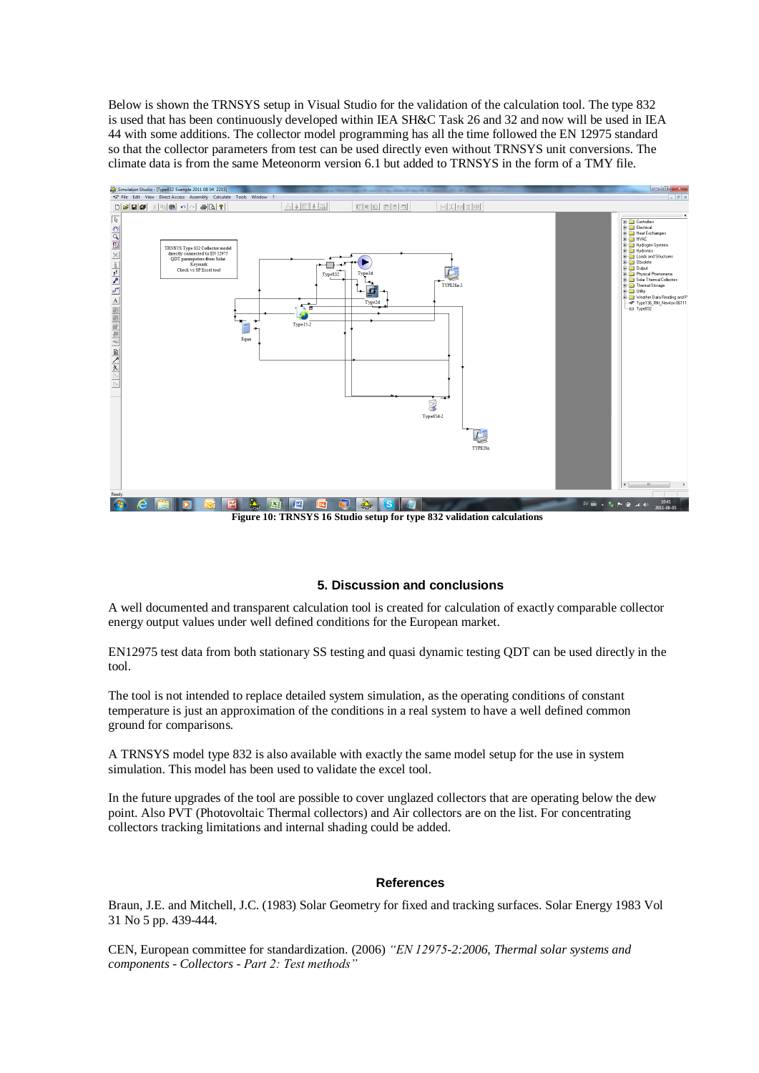Below is shown the TRNSYS setup in Visual Studio for the validation of the calculation tool. The type 832 is used that has been continuously developed within IEA SH&C Task 26 and 32 and now will be used in IEA 44 with some additions. The collector model programming has all the time followed the EN 12975 standard so that the collector parameters from test can be used directly even without TRNSYS unit conversions. The climate data is from the same Meteonorm version 6.1 but added to TRNSYS in the form of a TMY file.



**Figure 10: TRNSYS 16 Studio setup for type 832 validation calculations**

## **5. Discussion and conclusions**

A well documented and transparent calculation tool is created for calculation of exactly comparable collector energy output values under well defined conditions for the European market.

EN12975 test data from both stationary SS testing and quasi dynamic testing QDT can be used directly in the tool.

The tool is not intended to replace detailed system simulation, as the operating conditions of constant temperature is just an approximation of the conditions in a real system to have a well defined common ground for comparisons.

A TRNSYS model type 832 is also available with exactly the same model setup for the use in system simulation. This model has been used to validate the excel tool.

In the future upgrades of the tool are possible to cover unglazed collectors that are operating below the dew point. Also PVT (Photovoltaic Thermal collectors) and Air collectors are on the list. For concentrating collectors tracking limitations and internal shading could be added.

## **References**

Braun, J.E. and Mitchell, J.C. (1983) Solar Geometry for fixed and tracking surfaces. Solar Energy 1983 Vol 31 No 5 pp. 439-444.

CEN, European committee for standardization. (2006) *"EN 12975-2:2006, Thermal solar systems and components - Collectors - Part 2: Test methods"*